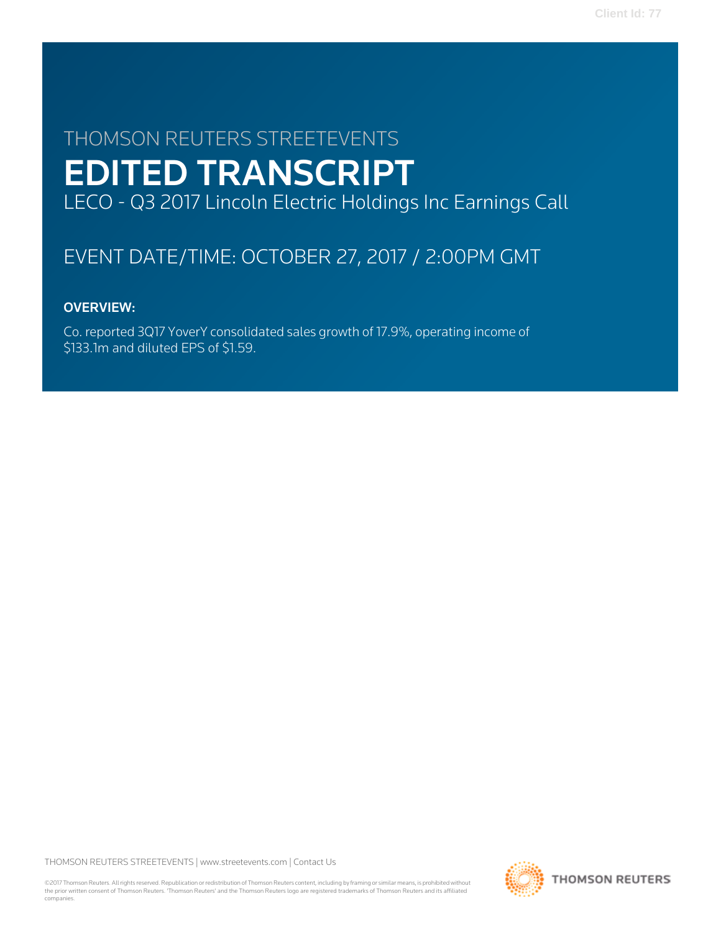# THOMSON REUTERS STREETEVENTS EDITED TRANSCRIPT LECO - Q3 2017 Lincoln Electric Holdings Inc Earnings Call

# EVENT DATE/TIME: OCTOBER 27, 2017 / 2:00PM GMT

# OVERVIEW:

Co. reported 3Q17 YoverY consolidated sales growth of 17.9%, operating income of \$133.1m and diluted EPS of \$1.59.

THOMSON REUTERS STREETEVENTS | [www.streetevents.com](http://www.streetevents.com) | [Contact Us](http://www010.streetevents.com/contact.asp)

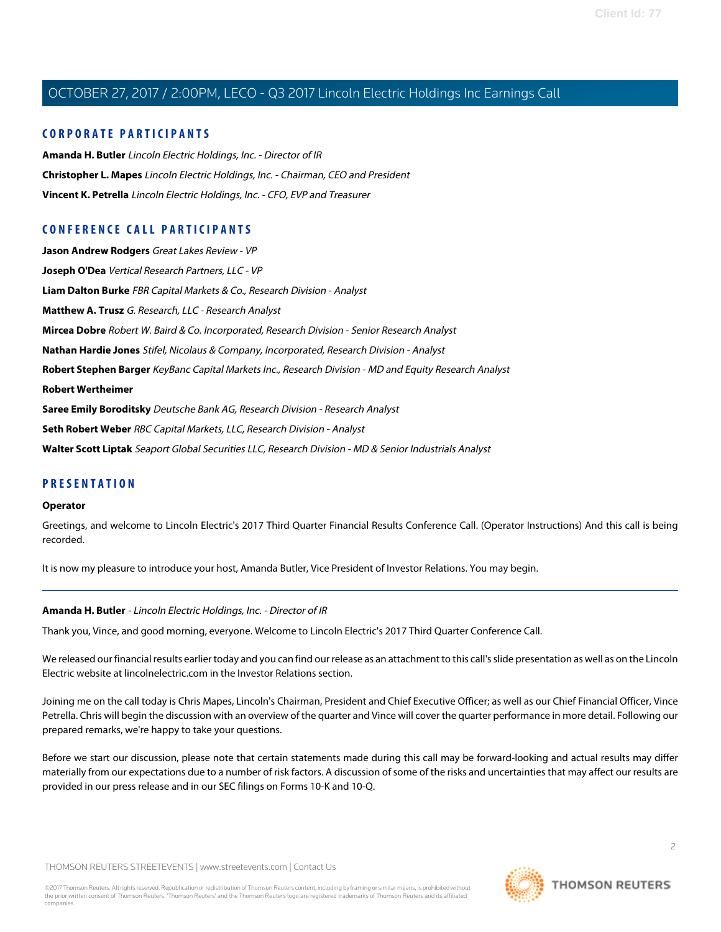#### **CORPORATE PARTICIPANTS**

**[Amanda H. Butler](#page-1-0)** Lincoln Electric Holdings, Inc. - Director of IR **[Christopher L. Mapes](#page-2-0)** Lincoln Electric Holdings, Inc. - Chairman, CEO and President **[Vincent K. Petrella](#page-3-0)** Lincoln Electric Holdings, Inc. - CFO, EVP and Treasurer

### **CONFERENCE CALL PARTICIPANTS**

**[Jason Andrew Rodgers](#page-10-0)** Great Lakes Review - VP **[Joseph O'Dea](#page-5-0)** Vertical Research Partners, LLC - VP **[Liam Dalton Burke](#page-13-0)** FBR Capital Markets & Co., Research Division - Analyst **[Matthew A. Trusz](#page-15-0)** G. Research, LLC - Research Analyst **[Mircea Dobre](#page-7-0)** Robert W. Baird & Co. Incorporated, Research Division - Senior Research Analyst **[Nathan Hardie Jones](#page-9-0)** Stifel, Nicolaus & Company, Incorporated, Research Division - Analyst **[Robert Stephen Barger](#page-14-0)** KeyBanc Capital Markets Inc., Research Division - MD and Equity Research Analyst **[Robert Wertheimer](#page-8-0) [Saree Emily Boroditsky](#page-8-1)** Deutsche Bank AG, Research Division - Research Analyst **[Seth Robert Weber](#page-5-1)** RBC Capital Markets, LLC, Research Division - Analyst **[Walter Scott Liptak](#page-11-0)** Seaport Global Securities LLC, Research Division - MD & Senior Industrials Analyst

#### **PRESENTATION**

#### **Operator**

Greetings, and welcome to Lincoln Electric's 2017 Third Quarter Financial Results Conference Call. (Operator Instructions) And this call is being recorded.

<span id="page-1-0"></span>It is now my pleasure to introduce your host, Amanda Butler, Vice President of Investor Relations. You may begin.

#### **Amanda H. Butler** - Lincoln Electric Holdings, Inc. - Director of IR

Thank you, Vince, and good morning, everyone. Welcome to Lincoln Electric's 2017 Third Quarter Conference Call.

We released our financial results earlier today and you can find our release as an attachment to this call's slide presentation as well as on the Lincoln Electric website at lincolnelectric.com in the Investor Relations section.

Joining me on the call today is Chris Mapes, Lincoln's Chairman, President and Chief Executive Officer; as well as our Chief Financial Officer, Vince Petrella. Chris will begin the discussion with an overview of the quarter and Vince will cover the quarter performance in more detail. Following our prepared remarks, we're happy to take your questions.

Before we start our discussion, please note that certain statements made during this call may be forward-looking and actual results may differ materially from our expectations due to a number of risk factors. A discussion of some of the risks and uncertainties that may affect our results are provided in our press release and in our SEC filings on Forms 10-K and 10-Q.

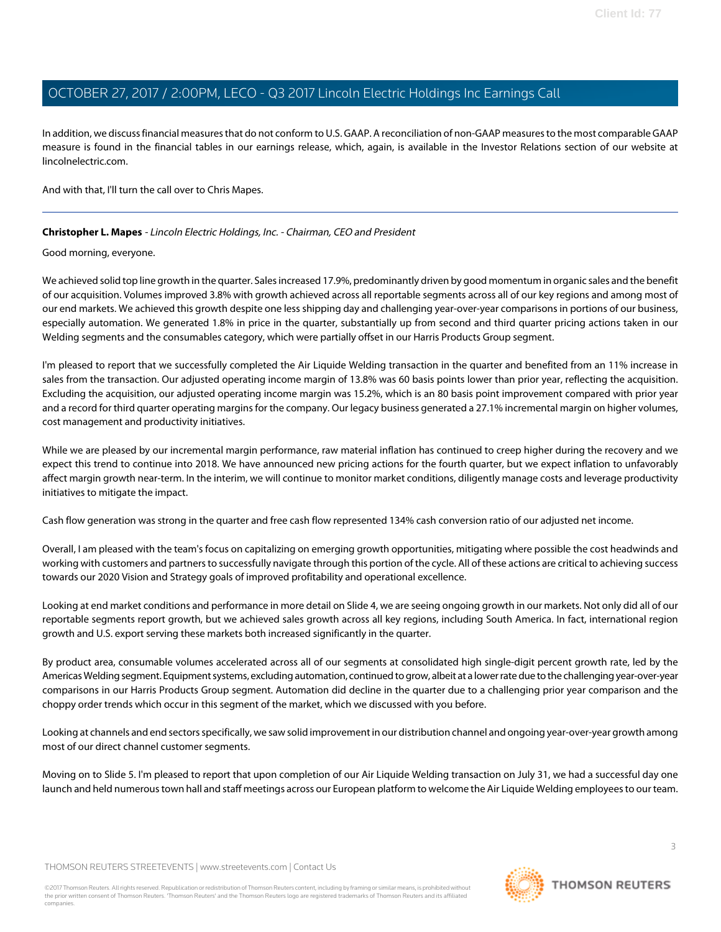In addition, we discuss financial measures that do not conform to U.S. GAAP. A reconciliation of non-GAAP measures to the most comparable GAAP measure is found in the financial tables in our earnings release, which, again, is available in the Investor Relations section of our website at lincolnelectric.com.

<span id="page-2-0"></span>And with that, I'll turn the call over to Chris Mapes.

#### **Christopher L. Mapes** - Lincoln Electric Holdings, Inc. - Chairman, CEO and President

Good morning, everyone.

We achieved solid top line growth in the quarter. Sales increased 17.9%, predominantly driven by good momentum in organic sales and the benefit of our acquisition. Volumes improved 3.8% with growth achieved across all reportable segments across all of our key regions and among most of our end markets. We achieved this growth despite one less shipping day and challenging year-over-year comparisons in portions of our business, especially automation. We generated 1.8% in price in the quarter, substantially up from second and third quarter pricing actions taken in our Welding segments and the consumables category, which were partially offset in our Harris Products Group segment.

I'm pleased to report that we successfully completed the Air Liquide Welding transaction in the quarter and benefited from an 11% increase in sales from the transaction. Our adjusted operating income margin of 13.8% was 60 basis points lower than prior year, reflecting the acquisition. Excluding the acquisition, our adjusted operating income margin was 15.2%, which is an 80 basis point improvement compared with prior year and a record for third quarter operating margins for the company. Our legacy business generated a 27.1% incremental margin on higher volumes, cost management and productivity initiatives.

While we are pleased by our incremental margin performance, raw material inflation has continued to creep higher during the recovery and we expect this trend to continue into 2018. We have announced new pricing actions for the fourth quarter, but we expect inflation to unfavorably affect margin growth near-term. In the interim, we will continue to monitor market conditions, diligently manage costs and leverage productivity initiatives to mitigate the impact.

Cash flow generation was strong in the quarter and free cash flow represented 134% cash conversion ratio of our adjusted net income.

Overall, I am pleased with the team's focus on capitalizing on emerging growth opportunities, mitigating where possible the cost headwinds and working with customers and partners to successfully navigate through this portion of the cycle. All of these actions are critical to achieving success towards our 2020 Vision and Strategy goals of improved profitability and operational excellence.

Looking at end market conditions and performance in more detail on Slide 4, we are seeing ongoing growth in our markets. Not only did all of our reportable segments report growth, but we achieved sales growth across all key regions, including South America. In fact, international region growth and U.S. export serving these markets both increased significantly in the quarter.

By product area, consumable volumes accelerated across all of our segments at consolidated high single-digit percent growth rate, led by the Americas Welding segment. Equipment systems, excluding automation, continued to grow, albeit at a lower rate due to the challenging year-over-year comparisons in our Harris Products Group segment. Automation did decline in the quarter due to a challenging prior year comparison and the choppy order trends which occur in this segment of the market, which we discussed with you before.

Looking at channels and end sectors specifically, we saw solid improvement in our distribution channel and ongoing year-over-year growth among most of our direct channel customer segments.

Moving on to Slide 5. I'm pleased to report that upon completion of our Air Liquide Welding transaction on July 31, we had a successful day one launch and held numerous town hall and staff meetings across our European platform to welcome the Air Liquide Welding employees to our team.

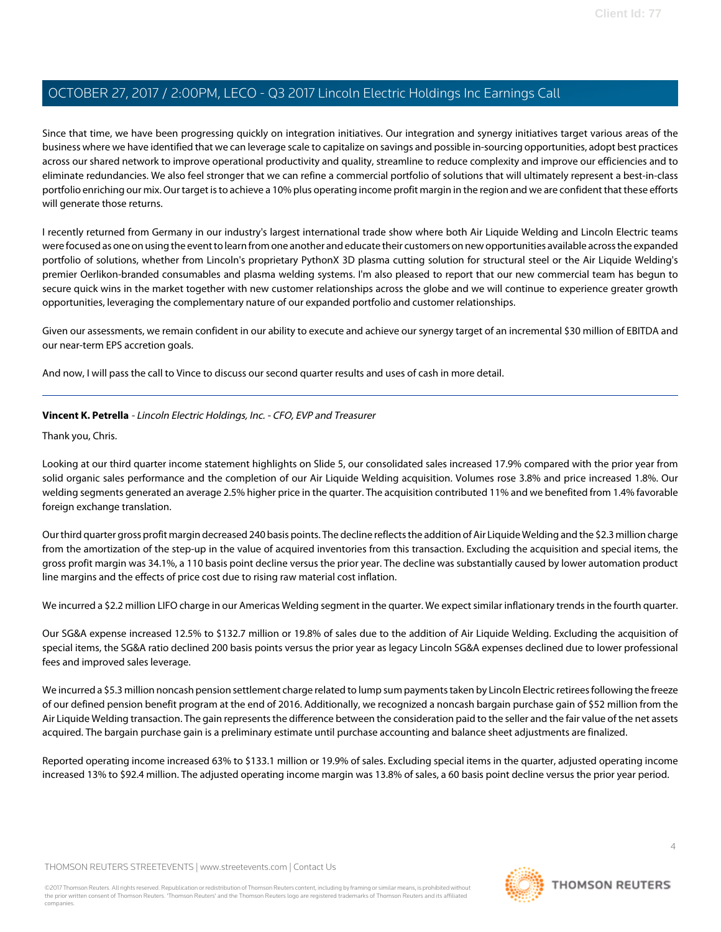Since that time, we have been progressing quickly on integration initiatives. Our integration and synergy initiatives target various areas of the business where we have identified that we can leverage scale to capitalize on savings and possible in-sourcing opportunities, adopt best practices across our shared network to improve operational productivity and quality, streamline to reduce complexity and improve our efficiencies and to eliminate redundancies. We also feel stronger that we can refine a commercial portfolio of solutions that will ultimately represent a best-in-class portfolio enriching our mix. Our target is to achieve a 10% plus operating income profit margin in the region and we are confident that these efforts will generate those returns.

I recently returned from Germany in our industry's largest international trade show where both Air Liquide Welding and Lincoln Electric teams were focused as one on using the event to learn from one another and educate their customers on new opportunities available across the expanded portfolio of solutions, whether from Lincoln's proprietary PythonX 3D plasma cutting solution for structural steel or the Air Liquide Welding's premier Oerlikon-branded consumables and plasma welding systems. I'm also pleased to report that our new commercial team has begun to secure quick wins in the market together with new customer relationships across the globe and we will continue to experience greater growth opportunities, leveraging the complementary nature of our expanded portfolio and customer relationships.

Given our assessments, we remain confident in our ability to execute and achieve our synergy target of an incremental \$30 million of EBITDA and our near-term EPS accretion goals.

<span id="page-3-0"></span>And now, I will pass the call to Vince to discuss our second quarter results and uses of cash in more detail.

#### **Vincent K. Petrella** - Lincoln Electric Holdings, Inc. - CFO, EVP and Treasurer

Thank you, Chris.

Looking at our third quarter income statement highlights on Slide 5, our consolidated sales increased 17.9% compared with the prior year from solid organic sales performance and the completion of our Air Liquide Welding acquisition. Volumes rose 3.8% and price increased 1.8%. Our welding segments generated an average 2.5% higher price in the quarter. The acquisition contributed 11% and we benefited from 1.4% favorable foreign exchange translation.

Our third quarter gross profit margin decreased 240 basis points. The decline reflects the addition of Air Liquide Welding and the \$2.3 million charge from the amortization of the step-up in the value of acquired inventories from this transaction. Excluding the acquisition and special items, the gross profit margin was 34.1%, a 110 basis point decline versus the prior year. The decline was substantially caused by lower automation product line margins and the effects of price cost due to rising raw material cost inflation.

We incurred a \$2.2 million LIFO charge in our Americas Welding segment in the quarter. We expect similar inflationary trends in the fourth quarter.

Our SG&A expense increased 12.5% to \$132.7 million or 19.8% of sales due to the addition of Air Liquide Welding. Excluding the acquisition of special items, the SG&A ratio declined 200 basis points versus the prior year as legacy Lincoln SG&A expenses declined due to lower professional fees and improved sales leverage.

We incurred a \$5.3 million noncash pension settlement charge related to lump sum payments taken by Lincoln Electric retirees following the freeze of our defined pension benefit program at the end of 2016. Additionally, we recognized a noncash bargain purchase gain of \$52 million from the Air Liquide Welding transaction. The gain represents the difference between the consideration paid to the seller and the fair value of the net assets acquired. The bargain purchase gain is a preliminary estimate until purchase accounting and balance sheet adjustments are finalized.

Reported operating income increased 63% to \$133.1 million or 19.9% of sales. Excluding special items in the quarter, adjusted operating income increased 13% to \$92.4 million. The adjusted operating income margin was 13.8% of sales, a 60 basis point decline versus the prior year period.

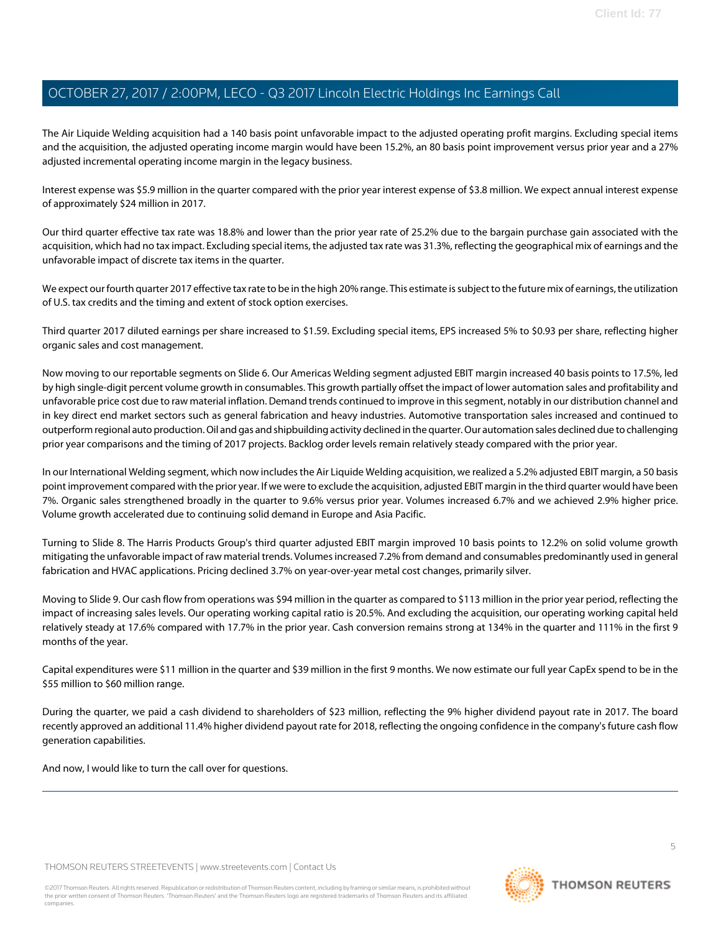The Air Liquide Welding acquisition had a 140 basis point unfavorable impact to the adjusted operating profit margins. Excluding special items and the acquisition, the adjusted operating income margin would have been 15.2%, an 80 basis point improvement versus prior year and a 27% adjusted incremental operating income margin in the legacy business.

Interest expense was \$5.9 million in the quarter compared with the prior year interest expense of \$3.8 million. We expect annual interest expense of approximately \$24 million in 2017.

Our third quarter effective tax rate was 18.8% and lower than the prior year rate of 25.2% due to the bargain purchase gain associated with the acquisition, which had no tax impact. Excluding special items, the adjusted tax rate was 31.3%, reflecting the geographical mix of earnings and the unfavorable impact of discrete tax items in the quarter.

We expect our fourth quarter 2017 effective tax rate to be in the high 20% range. This estimate is subject to the future mix of earnings, the utilization of U.S. tax credits and the timing and extent of stock option exercises.

Third quarter 2017 diluted earnings per share increased to \$1.59. Excluding special items, EPS increased 5% to \$0.93 per share, reflecting higher organic sales and cost management.

Now moving to our reportable segments on Slide 6. Our Americas Welding segment adjusted EBIT margin increased 40 basis points to 17.5%, led by high single-digit percent volume growth in consumables. This growth partially offset the impact of lower automation sales and profitability and unfavorable price cost due to raw material inflation. Demand trends continued to improve in this segment, notably in our distribution channel and in key direct end market sectors such as general fabrication and heavy industries. Automotive transportation sales increased and continued to outperform regional auto production. Oil and gas and shipbuilding activity declined in the quarter. Our automation sales declined due to challenging prior year comparisons and the timing of 2017 projects. Backlog order levels remain relatively steady compared with the prior year.

In our International Welding segment, which now includes the Air Liquide Welding acquisition, we realized a 5.2% adjusted EBIT margin, a 50 basis point improvement compared with the prior year. If we were to exclude the acquisition, adjusted EBIT margin in the third quarter would have been 7%. Organic sales strengthened broadly in the quarter to 9.6% versus prior year. Volumes increased 6.7% and we achieved 2.9% higher price. Volume growth accelerated due to continuing solid demand in Europe and Asia Pacific.

Turning to Slide 8. The Harris Products Group's third quarter adjusted EBIT margin improved 10 basis points to 12.2% on solid volume growth mitigating the unfavorable impact of raw material trends. Volumes increased 7.2% from demand and consumables predominantly used in general fabrication and HVAC applications. Pricing declined 3.7% on year-over-year metal cost changes, primarily silver.

Moving to Slide 9. Our cash flow from operations was \$94 million in the quarter as compared to \$113 million in the prior year period, reflecting the impact of increasing sales levels. Our operating working capital ratio is 20.5%. And excluding the acquisition, our operating working capital held relatively steady at 17.6% compared with 17.7% in the prior year. Cash conversion remains strong at 134% in the quarter and 111% in the first 9 months of the year.

Capital expenditures were \$11 million in the quarter and \$39 million in the first 9 months. We now estimate our full year CapEx spend to be in the \$55 million to \$60 million range.

During the quarter, we paid a cash dividend to shareholders of \$23 million, reflecting the 9% higher dividend payout rate in 2017. The board recently approved an additional 11.4% higher dividend payout rate for 2018, reflecting the ongoing confidence in the company's future cash flow generation capabilities.

And now, I would like to turn the call over for questions.

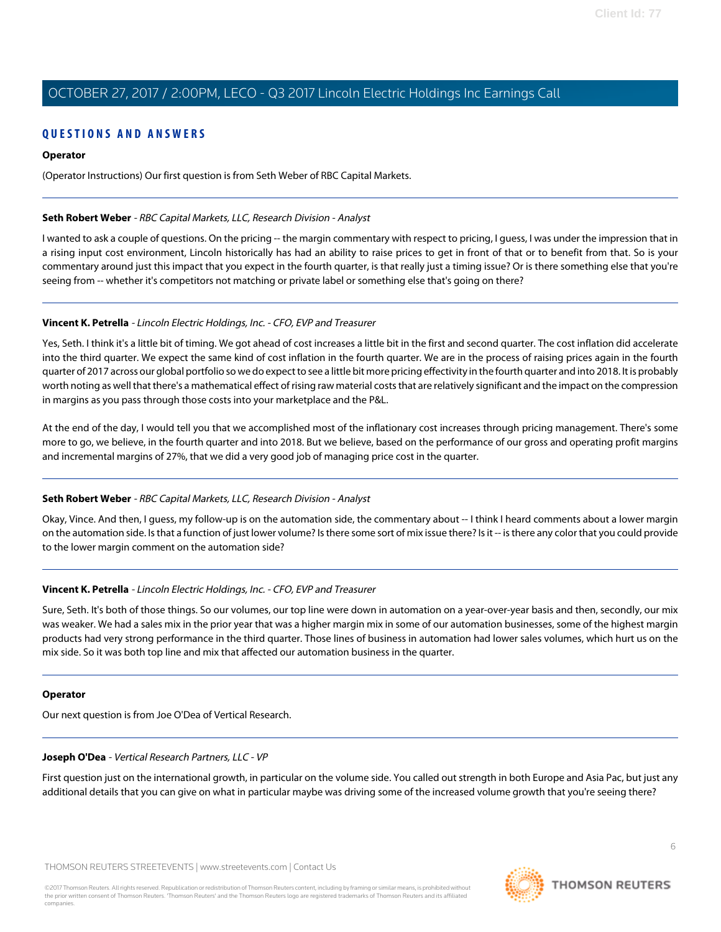#### **QUESTIONS AND ANSWERS**

#### **Operator**

(Operator Instructions) Our first question is from Seth Weber of RBC Capital Markets.

#### <span id="page-5-1"></span>**Seth Robert Weber** - RBC Capital Markets, LLC, Research Division - Analyst

I wanted to ask a couple of questions. On the pricing -- the margin commentary with respect to pricing, I guess, I was under the impression that in a rising input cost environment, Lincoln historically has had an ability to raise prices to get in front of that or to benefit from that. So is your commentary around just this impact that you expect in the fourth quarter, is that really just a timing issue? Or is there something else that you're seeing from -- whether it's competitors not matching or private label or something else that's going on there?

#### **Vincent K. Petrella** - Lincoln Electric Holdings, Inc. - CFO, EVP and Treasurer

Yes, Seth. I think it's a little bit of timing. We got ahead of cost increases a little bit in the first and second quarter. The cost inflation did accelerate into the third quarter. We expect the same kind of cost inflation in the fourth quarter. We are in the process of raising prices again in the fourth quarter of 2017 across our global portfolio so we do expect to see a little bit more pricing effectivity in the fourth quarter and into 2018. It is probably worth noting as well that there's a mathematical effect of rising raw material costs that are relatively significant and the impact on the compression in margins as you pass through those costs into your marketplace and the P&L.

At the end of the day, I would tell you that we accomplished most of the inflationary cost increases through pricing management. There's some more to go, we believe, in the fourth quarter and into 2018. But we believe, based on the performance of our gross and operating profit margins and incremental margins of 27%, that we did a very good job of managing price cost in the quarter.

#### **Seth Robert Weber** - RBC Capital Markets, LLC, Research Division - Analyst

Okay, Vince. And then, I guess, my follow-up is on the automation side, the commentary about -- I think I heard comments about a lower margin on the automation side. Is that a function of just lower volume? Is there some sort of mix issue there? Is it -- is there any color that you could provide to the lower margin comment on the automation side?

#### **Vincent K. Petrella** - Lincoln Electric Holdings, Inc. - CFO, EVP and Treasurer

Sure, Seth. It's both of those things. So our volumes, our top line were down in automation on a year-over-year basis and then, secondly, our mix was weaker. We had a sales mix in the prior year that was a higher margin mix in some of our automation businesses, some of the highest margin products had very strong performance in the third quarter. Those lines of business in automation had lower sales volumes, which hurt us on the mix side. So it was both top line and mix that affected our automation business in the quarter.

#### <span id="page-5-0"></span>**Operator**

Our next question is from Joe O'Dea of Vertical Research.

#### **Joseph O'Dea** - Vertical Research Partners, LLC - VP

First question just on the international growth, in particular on the volume side. You called out strength in both Europe and Asia Pac, but just any additional details that you can give on what in particular maybe was driving some of the increased volume growth that you're seeing there?

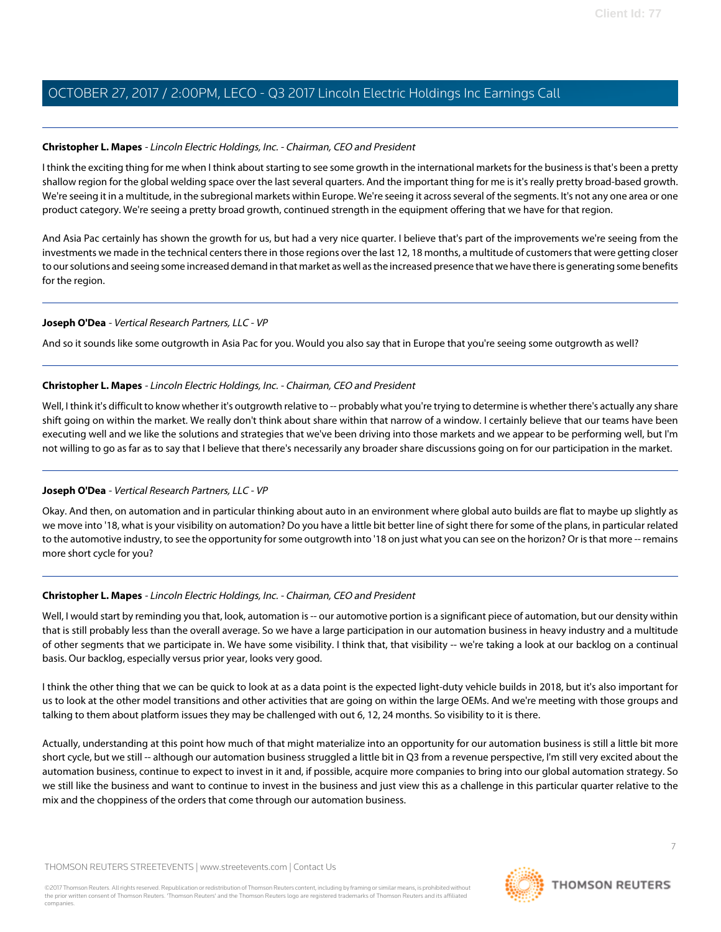#### **Christopher L. Mapes** - Lincoln Electric Holdings, Inc. - Chairman, CEO and President

I think the exciting thing for me when I think about starting to see some growth in the international markets for the business is that's been a pretty shallow region for the global welding space over the last several quarters. And the important thing for me is it's really pretty broad-based growth. We're seeing it in a multitude, in the subregional markets within Europe. We're seeing it across several of the segments. It's not any one area or one product category. We're seeing a pretty broad growth, continued strength in the equipment offering that we have for that region.

And Asia Pac certainly has shown the growth for us, but had a very nice quarter. I believe that's part of the improvements we're seeing from the investments we made in the technical centers there in those regions over the last 12, 18 months, a multitude of customers that were getting closer to our solutions and seeing some increased demand in that market as well as the increased presence that we have there is generating some benefits for the region.

#### **Joseph O'Dea** - Vertical Research Partners, LLC - VP

And so it sounds like some outgrowth in Asia Pac for you. Would you also say that in Europe that you're seeing some outgrowth as well?

#### **Christopher L. Mapes** - Lincoln Electric Holdings, Inc. - Chairman, CEO and President

Well, I think it's difficult to know whether it's outgrowth relative to -- probably what you're trying to determine is whether there's actually any share shift going on within the market. We really don't think about share within that narrow of a window. I certainly believe that our teams have been executing well and we like the solutions and strategies that we've been driving into those markets and we appear to be performing well, but I'm not willing to go as far as to say that I believe that there's necessarily any broader share discussions going on for our participation in the market.

#### **Joseph O'Dea** - Vertical Research Partners, LLC - VP

Okay. And then, on automation and in particular thinking about auto in an environment where global auto builds are flat to maybe up slightly as we move into '18, what is your visibility on automation? Do you have a little bit better line of sight there for some of the plans, in particular related to the automotive industry, to see the opportunity for some outgrowth into '18 on just what you can see on the horizon? Or is that more -- remains more short cycle for you?

#### **Christopher L. Mapes** - Lincoln Electric Holdings, Inc. - Chairman, CEO and President

Well, I would start by reminding you that, look, automation is -- our automotive portion is a significant piece of automation, but our density within that is still probably less than the overall average. So we have a large participation in our automation business in heavy industry and a multitude of other segments that we participate in. We have some visibility. I think that, that visibility -- we're taking a look at our backlog on a continual basis. Our backlog, especially versus prior year, looks very good.

I think the other thing that we can be quick to look at as a data point is the expected light-duty vehicle builds in 2018, but it's also important for us to look at the other model transitions and other activities that are going on within the large OEMs. And we're meeting with those groups and talking to them about platform issues they may be challenged with out 6, 12, 24 months. So visibility to it is there.

Actually, understanding at this point how much of that might materialize into an opportunity for our automation business is still a little bit more short cycle, but we still -- although our automation business struggled a little bit in Q3 from a revenue perspective, I'm still very excited about the automation business, continue to expect to invest in it and, if possible, acquire more companies to bring into our global automation strategy. So we still like the business and want to continue to invest in the business and just view this as a challenge in this particular quarter relative to the mix and the choppiness of the orders that come through our automation business.

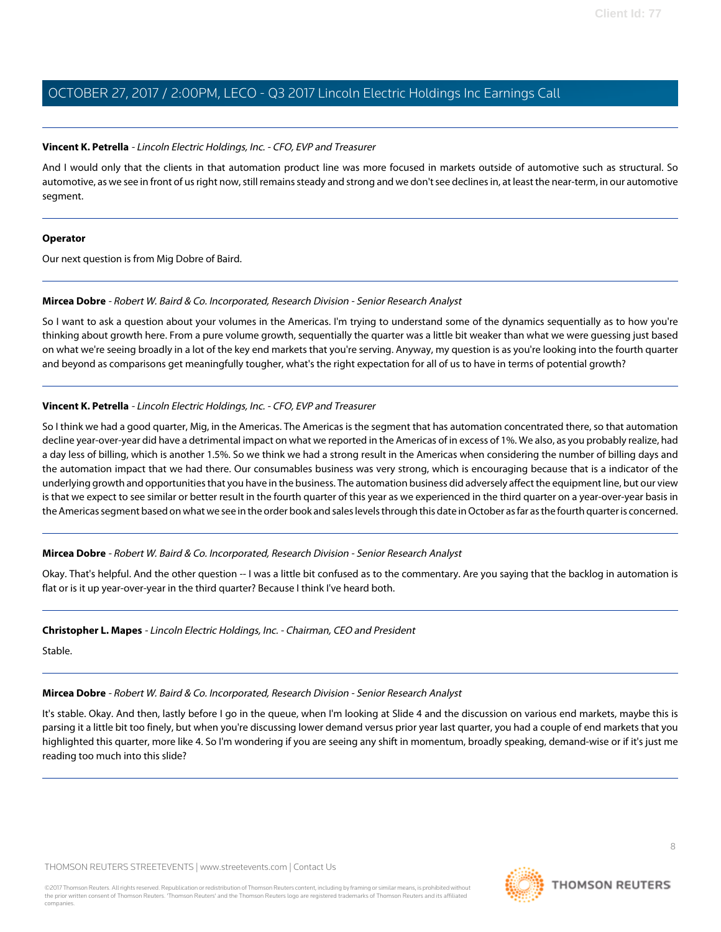#### **Vincent K. Petrella** - Lincoln Electric Holdings, Inc. - CFO, EVP and Treasurer

And I would only that the clients in that automation product line was more focused in markets outside of automotive such as structural. So automotive, as we see in front of us right now, still remains steady and strong and we don't see declines in, at least the near-term, in our automotive segment.

#### **Operator**

<span id="page-7-0"></span>Our next question is from Mig Dobre of Baird.

#### **Mircea Dobre** - Robert W. Baird & Co. Incorporated, Research Division - Senior Research Analyst

So I want to ask a question about your volumes in the Americas. I'm trying to understand some of the dynamics sequentially as to how you're thinking about growth here. From a pure volume growth, sequentially the quarter was a little bit weaker than what we were guessing just based on what we're seeing broadly in a lot of the key end markets that you're serving. Anyway, my question is as you're looking into the fourth quarter and beyond as comparisons get meaningfully tougher, what's the right expectation for all of us to have in terms of potential growth?

#### **Vincent K. Petrella** - Lincoln Electric Holdings, Inc. - CFO, EVP and Treasurer

So I think we had a good quarter, Mig, in the Americas. The Americas is the segment that has automation concentrated there, so that automation decline year-over-year did have a detrimental impact on what we reported in the Americas of in excess of 1%. We also, as you probably realize, had a day less of billing, which is another 1.5%. So we think we had a strong result in the Americas when considering the number of billing days and the automation impact that we had there. Our consumables business was very strong, which is encouraging because that is a indicator of the underlying growth and opportunities that you have in the business. The automation business did adversely affect the equipment line, but our view is that we expect to see similar or better result in the fourth quarter of this year as we experienced in the third quarter on a year-over-year basis in the Americas segment based on what we see in the order book and sales levels through this date in October as far as the fourth quarter is concerned.

#### **Mircea Dobre** - Robert W. Baird & Co. Incorporated, Research Division - Senior Research Analyst

Okay. That's helpful. And the other question -- I was a little bit confused as to the commentary. Are you saying that the backlog in automation is flat or is it up year-over-year in the third quarter? Because I think I've heard both.

#### **Christopher L. Mapes** - Lincoln Electric Holdings, Inc. - Chairman, CEO and President

Stable.

## **Mircea Dobre** - Robert W. Baird & Co. Incorporated, Research Division - Senior Research Analyst

It's stable. Okay. And then, lastly before I go in the queue, when I'm looking at Slide 4 and the discussion on various end markets, maybe this is parsing it a little bit too finely, but when you're discussing lower demand versus prior year last quarter, you had a couple of end markets that you highlighted this quarter, more like 4. So I'm wondering if you are seeing any shift in momentum, broadly speaking, demand-wise or if it's just me reading too much into this slide?

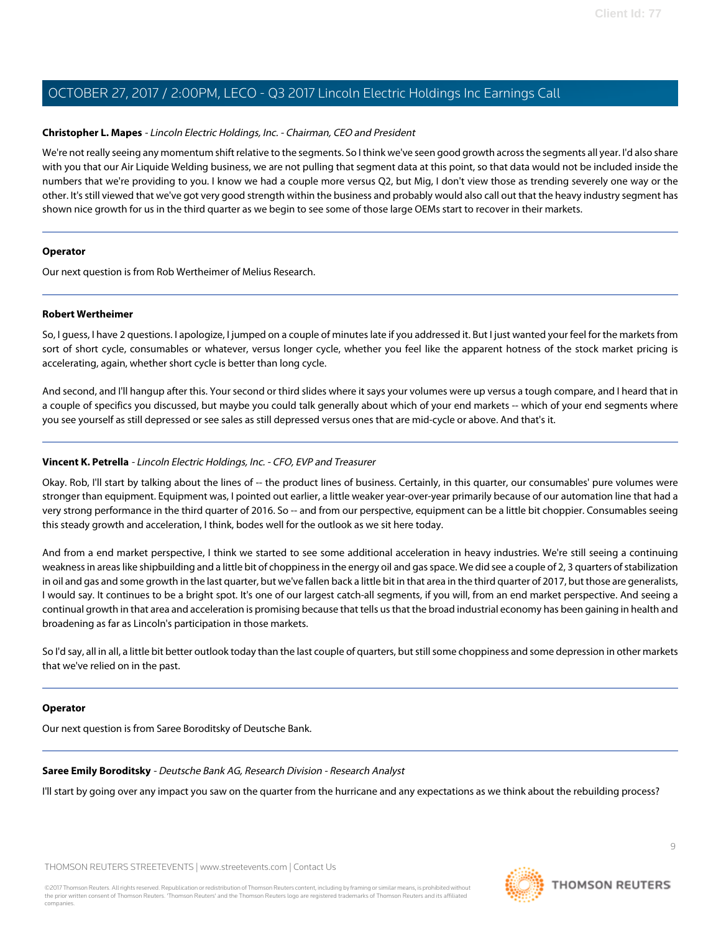#### **Christopher L. Mapes** - Lincoln Electric Holdings, Inc. - Chairman, CEO and President

We're not really seeing any momentum shift relative to the segments. So I think we've seen good growth across the segments all year. I'd also share with you that our Air Liquide Welding business, we are not pulling that segment data at this point, so that data would not be included inside the numbers that we're providing to you. I know we had a couple more versus Q2, but Mig, I don't view those as trending severely one way or the other. It's still viewed that we've got very good strength within the business and probably would also call out that the heavy industry segment has shown nice growth for us in the third quarter as we begin to see some of those large OEMs start to recover in their markets.

#### **Operator**

<span id="page-8-0"></span>Our next question is from Rob Wertheimer of Melius Research.

#### **Robert Wertheimer**

So, I guess, I have 2 questions. I apologize, I jumped on a couple of minutes late if you addressed it. But I just wanted your feel for the markets from sort of short cycle, consumables or whatever, versus longer cycle, whether you feel like the apparent hotness of the stock market pricing is accelerating, again, whether short cycle is better than long cycle.

And second, and I'll hangup after this. Your second or third slides where it says your volumes were up versus a tough compare, and I heard that in a couple of specifics you discussed, but maybe you could talk generally about which of your end markets -- which of your end segments where you see yourself as still depressed or see sales as still depressed versus ones that are mid-cycle or above. And that's it.

#### **Vincent K. Petrella** - Lincoln Electric Holdings, Inc. - CFO, EVP and Treasurer

Okay. Rob, I'll start by talking about the lines of -- the product lines of business. Certainly, in this quarter, our consumables' pure volumes were stronger than equipment. Equipment was, I pointed out earlier, a little weaker year-over-year primarily because of our automation line that had a very strong performance in the third quarter of 2016. So -- and from our perspective, equipment can be a little bit choppier. Consumables seeing this steady growth and acceleration, I think, bodes well for the outlook as we sit here today.

And from a end market perspective, I think we started to see some additional acceleration in heavy industries. We're still seeing a continuing weakness in areas like shipbuilding and a little bit of choppiness in the energy oil and gas space. We did see a couple of 2, 3 quarters of stabilization in oil and gas and some growth in the last quarter, but we've fallen back a little bit in that area in the third quarter of 2017, but those are generalists, I would say. It continues to be a bright spot. It's one of our largest catch-all segments, if you will, from an end market perspective. And seeing a continual growth in that area and acceleration is promising because that tells us that the broad industrial economy has been gaining in health and broadening as far as Lincoln's participation in those markets.

So I'd say, all in all, a little bit better outlook today than the last couple of quarters, but still some choppiness and some depression in other markets that we've relied on in the past.

#### <span id="page-8-1"></span>**Operator**

Our next question is from Saree Boroditsky of Deutsche Bank.

#### **Saree Emily Boroditsky** - Deutsche Bank AG, Research Division - Research Analyst

I'll start by going over any impact you saw on the quarter from the hurricane and any expectations as we think about the rebuilding process?

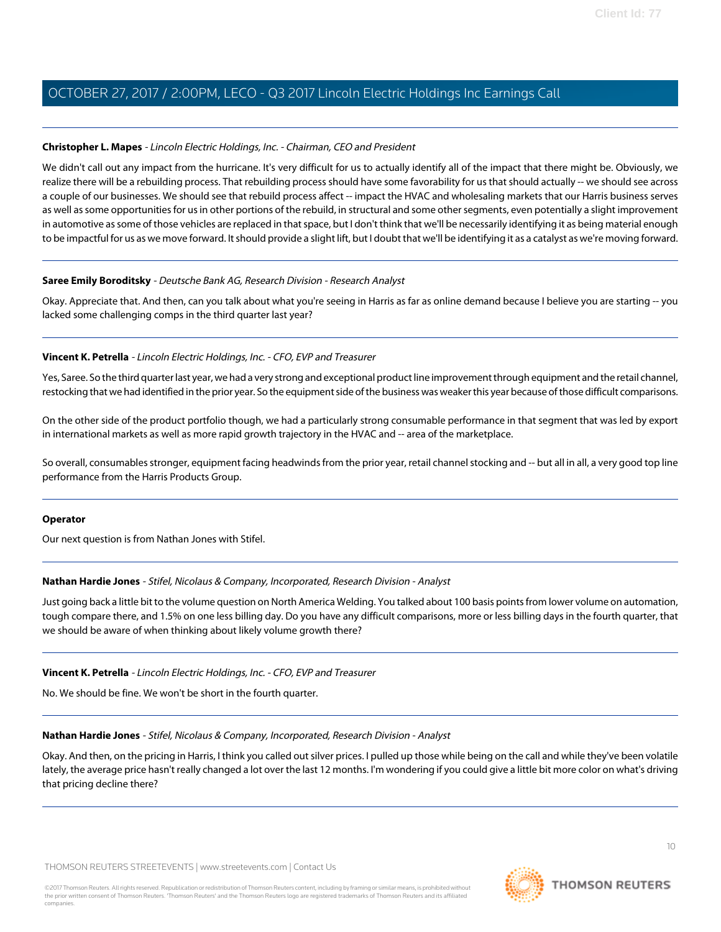#### **Christopher L. Mapes** - Lincoln Electric Holdings, Inc. - Chairman, CEO and President

We didn't call out any impact from the hurricane. It's very difficult for us to actually identify all of the impact that there might be. Obviously, we realize there will be a rebuilding process. That rebuilding process should have some favorability for us that should actually -- we should see across a couple of our businesses. We should see that rebuild process affect -- impact the HVAC and wholesaling markets that our Harris business serves as well as some opportunities for us in other portions of the rebuild, in structural and some other segments, even potentially a slight improvement in automotive as some of those vehicles are replaced in that space, but I don't think that we'll be necessarily identifying it as being material enough to be impactful for us as we move forward. It should provide a slight lift, but I doubt that we'll be identifying it as a catalyst as we're moving forward.

#### **Saree Emily Boroditsky** - Deutsche Bank AG, Research Division - Research Analyst

Okay. Appreciate that. And then, can you talk about what you're seeing in Harris as far as online demand because I believe you are starting -- you lacked some challenging comps in the third quarter last year?

#### **Vincent K. Petrella** - Lincoln Electric Holdings, Inc. - CFO, EVP and Treasurer

Yes, Saree. So the third quarter last year, we had a very strong and exceptional product line improvement through equipment and the retail channel, restocking that we had identified in the prior year. So the equipment side of the business was weaker this year because of those difficult comparisons.

On the other side of the product portfolio though, we had a particularly strong consumable performance in that segment that was led by export in international markets as well as more rapid growth trajectory in the HVAC and -- area of the marketplace.

So overall, consumables stronger, equipment facing headwinds from the prior year, retail channel stocking and -- but all in all, a very good top line performance from the Harris Products Group.

#### <span id="page-9-0"></span>**Operator**

Our next question is from Nathan Jones with Stifel.

#### **Nathan Hardie Jones** - Stifel, Nicolaus & Company, Incorporated, Research Division - Analyst

Just going back a little bit to the volume question on North America Welding. You talked about 100 basis points from lower volume on automation, tough compare there, and 1.5% on one less billing day. Do you have any difficult comparisons, more or less billing days in the fourth quarter, that we should be aware of when thinking about likely volume growth there?

#### **Vincent K. Petrella** - Lincoln Electric Holdings, Inc. - CFO, EVP and Treasurer

No. We should be fine. We won't be short in the fourth quarter.

#### **Nathan Hardie Jones** - Stifel, Nicolaus & Company, Incorporated, Research Division - Analyst

Okay. And then, on the pricing in Harris, I think you called out silver prices. I pulled up those while being on the call and while they've been volatile lately, the average price hasn't really changed a lot over the last 12 months. I'm wondering if you could give a little bit more color on what's driving that pricing decline there?

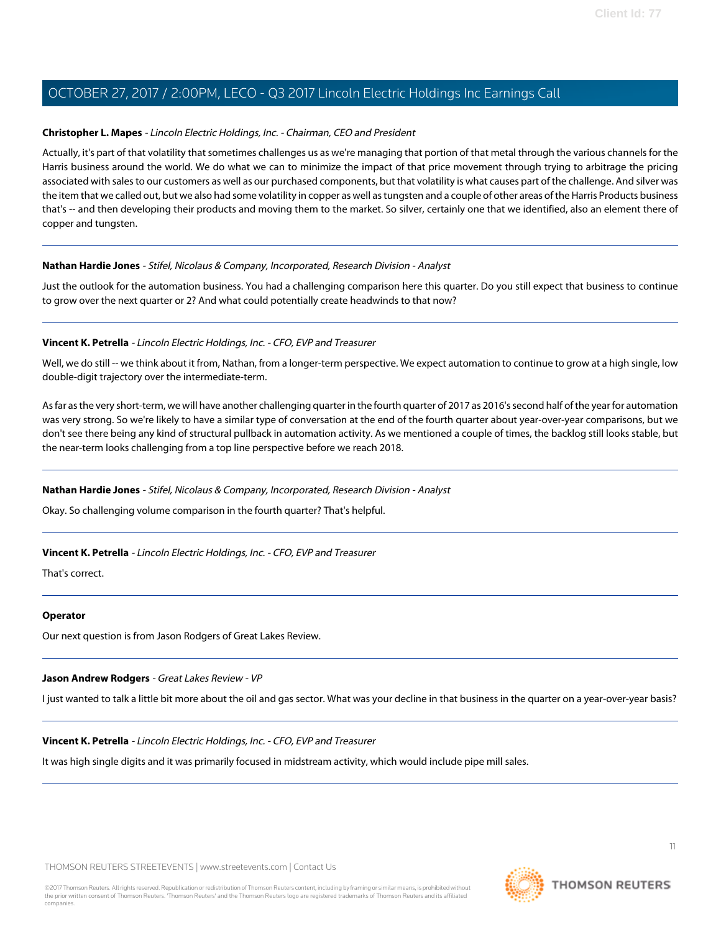#### **Christopher L. Mapes** - Lincoln Electric Holdings, Inc. - Chairman, CEO and President

Actually, it's part of that volatility that sometimes challenges us as we're managing that portion of that metal through the various channels for the Harris business around the world. We do what we can to minimize the impact of that price movement through trying to arbitrage the pricing associated with sales to our customers as well as our purchased components, but that volatility is what causes part of the challenge. And silver was the item that we called out, but we also had some volatility in copper as well as tungsten and a couple of other areas of the Harris Products business that's -- and then developing their products and moving them to the market. So silver, certainly one that we identified, also an element there of copper and tungsten.

#### **Nathan Hardie Jones** - Stifel, Nicolaus & Company, Incorporated, Research Division - Analyst

Just the outlook for the automation business. You had a challenging comparison here this quarter. Do you still expect that business to continue to grow over the next quarter or 2? And what could potentially create headwinds to that now?

#### **Vincent K. Petrella** - Lincoln Electric Holdings, Inc. - CFO, EVP and Treasurer

Well, we do still -- we think about it from, Nathan, from a longer-term perspective. We expect automation to continue to grow at a high single, low double-digit trajectory over the intermediate-term.

As far as the very short-term, we will have another challenging quarter in the fourth quarter of 2017 as 2016's second half of the year for automation was very strong. So we're likely to have a similar type of conversation at the end of the fourth quarter about year-over-year comparisons, but we don't see there being any kind of structural pullback in automation activity. As we mentioned a couple of times, the backlog still looks stable, but the near-term looks challenging from a top line perspective before we reach 2018.

#### **Nathan Hardie Jones** - Stifel, Nicolaus & Company, Incorporated, Research Division - Analyst

Okay. So challenging volume comparison in the fourth quarter? That's helpful.

#### **Vincent K. Petrella** - Lincoln Electric Holdings, Inc. - CFO, EVP and Treasurer

That's correct.

#### <span id="page-10-0"></span>**Operator**

Our next question is from Jason Rodgers of Great Lakes Review.

#### **Jason Andrew Rodgers** - Great Lakes Review - VP

I just wanted to talk a little bit more about the oil and gas sector. What was your decline in that business in the quarter on a year-over-year basis?

#### **Vincent K. Petrella** - Lincoln Electric Holdings, Inc. - CFO, EVP and Treasurer

It was high single digits and it was primarily focused in midstream activity, which would include pipe mill sales.

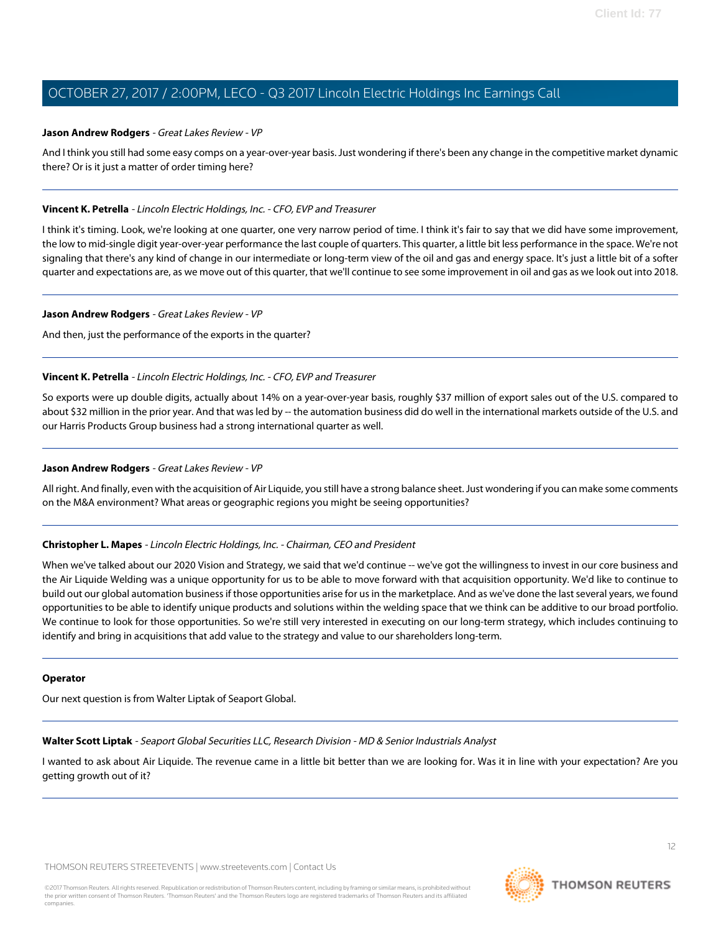#### **Jason Andrew Rodgers** - Great Lakes Review - VP

And I think you still had some easy comps on a year-over-year basis. Just wondering if there's been any change in the competitive market dynamic there? Or is it just a matter of order timing here?

#### **Vincent K. Petrella** - Lincoln Electric Holdings, Inc. - CFO, EVP and Treasurer

I think it's timing. Look, we're looking at one quarter, one very narrow period of time. I think it's fair to say that we did have some improvement, the low to mid-single digit year-over-year performance the last couple of quarters. This quarter, a little bit less performance in the space. We're not signaling that there's any kind of change in our intermediate or long-term view of the oil and gas and energy space. It's just a little bit of a softer quarter and expectations are, as we move out of this quarter, that we'll continue to see some improvement in oil and gas as we look out into 2018.

#### **Jason Andrew Rodgers** - Great Lakes Review - VP

And then, just the performance of the exports in the quarter?

#### **Vincent K. Petrella** - Lincoln Electric Holdings, Inc. - CFO, EVP and Treasurer

So exports were up double digits, actually about 14% on a year-over-year basis, roughly \$37 million of export sales out of the U.S. compared to about \$32 million in the prior year. And that was led by -- the automation business did do well in the international markets outside of the U.S. and our Harris Products Group business had a strong international quarter as well.

#### **Jason Andrew Rodgers** - Great Lakes Review - VP

All right. And finally, even with the acquisition of Air Liquide, you still have a strong balance sheet. Just wondering if you can make some comments on the M&A environment? What areas or geographic regions you might be seeing opportunities?

#### **Christopher L. Mapes** - Lincoln Electric Holdings, Inc. - Chairman, CEO and President

When we've talked about our 2020 Vision and Strategy, we said that we'd continue -- we've got the willingness to invest in our core business and the Air Liquide Welding was a unique opportunity for us to be able to move forward with that acquisition opportunity. We'd like to continue to build out our global automation business if those opportunities arise for us in the marketplace. And as we've done the last several years, we found opportunities to be able to identify unique products and solutions within the welding space that we think can be additive to our broad portfolio. We continue to look for those opportunities. So we're still very interested in executing on our long-term strategy, which includes continuing to identify and bring in acquisitions that add value to the strategy and value to our shareholders long-term.

#### <span id="page-11-0"></span>**Operator**

Our next question is from Walter Liptak of Seaport Global.

#### **Walter Scott Liptak** - Seaport Global Securities LLC, Research Division - MD & Senior Industrials Analyst

I wanted to ask about Air Liquide. The revenue came in a little bit better than we are looking for. Was it in line with your expectation? Are you getting growth out of it?

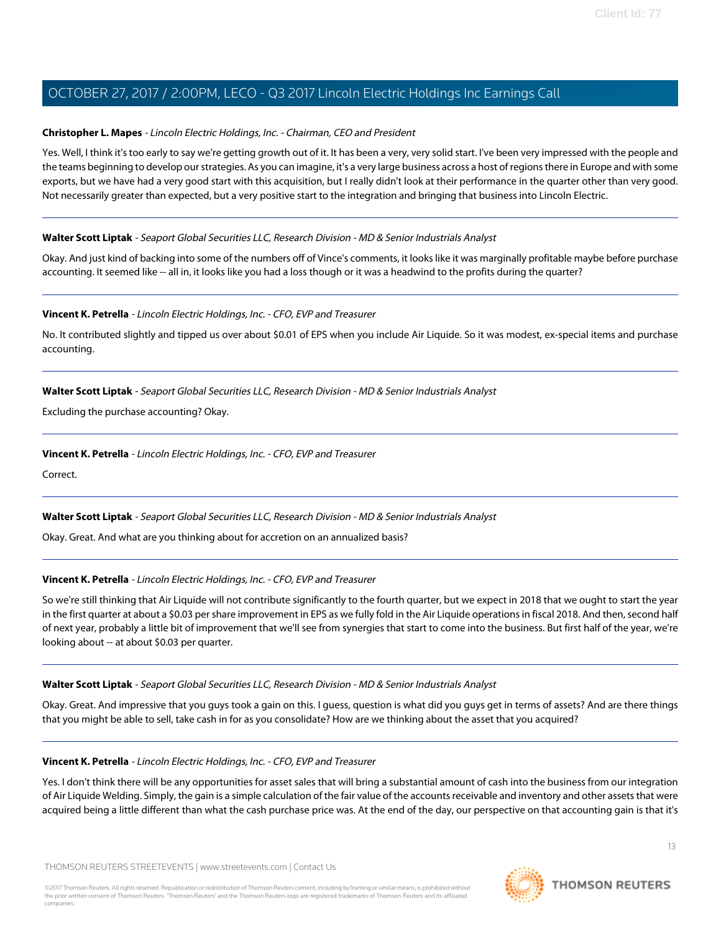#### **Christopher L. Mapes** - Lincoln Electric Holdings, Inc. - Chairman, CEO and President

Yes. Well, I think it's too early to say we're getting growth out of it. It has been a very, very solid start. I've been very impressed with the people and the teams beginning to develop our strategies. As you can imagine, it's a very large business across a host of regions there in Europe and with some exports, but we have had a very good start with this acquisition, but I really didn't look at their performance in the quarter other than very good. Not necessarily greater than expected, but a very positive start to the integration and bringing that business into Lincoln Electric.

#### **Walter Scott Liptak** - Seaport Global Securities LLC, Research Division - MD & Senior Industrials Analyst

Okay. And just kind of backing into some of the numbers off of Vince's comments, it looks like it was marginally profitable maybe before purchase accounting. It seemed like -- all in, it looks like you had a loss though or it was a headwind to the profits during the quarter?

#### **Vincent K. Petrella** - Lincoln Electric Holdings, Inc. - CFO, EVP and Treasurer

No. It contributed slightly and tipped us over about \$0.01 of EPS when you include Air Liquide. So it was modest, ex-special items and purchase accounting.

#### **Walter Scott Liptak** - Seaport Global Securities LLC, Research Division - MD & Senior Industrials Analyst

Excluding the purchase accounting? Okay.

#### **Vincent K. Petrella** - Lincoln Electric Holdings, Inc. - CFO, EVP and Treasurer

Correct.

#### **Walter Scott Liptak** - Seaport Global Securities LLC, Research Division - MD & Senior Industrials Analyst

Okay. Great. And what are you thinking about for accretion on an annualized basis?

#### **Vincent K. Petrella** - Lincoln Electric Holdings, Inc. - CFO, EVP and Treasurer

So we're still thinking that Air Liquide will not contribute significantly to the fourth quarter, but we expect in 2018 that we ought to start the year in the first quarter at about a \$0.03 per share improvement in EPS as we fully fold in the Air Liquide operations in fiscal 2018. And then, second half of next year, probably a little bit of improvement that we'll see from synergies that start to come into the business. But first half of the year, we're looking about -- at about \$0.03 per quarter.

#### **Walter Scott Liptak** - Seaport Global Securities LLC, Research Division - MD & Senior Industrials Analyst

Okay. Great. And impressive that you guys took a gain on this. I guess, question is what did you guys get in terms of assets? And are there things that you might be able to sell, take cash in for as you consolidate? How are we thinking about the asset that you acquired?

#### **Vincent K. Petrella** - Lincoln Electric Holdings, Inc. - CFO, EVP and Treasurer

Yes. I don't think there will be any opportunities for asset sales that will bring a substantial amount of cash into the business from our integration of Air Liquide Welding. Simply, the gain is a simple calculation of the fair value of the accounts receivable and inventory and other assets that were acquired being a little different than what the cash purchase price was. At the end of the day, our perspective on that accounting gain is that it's

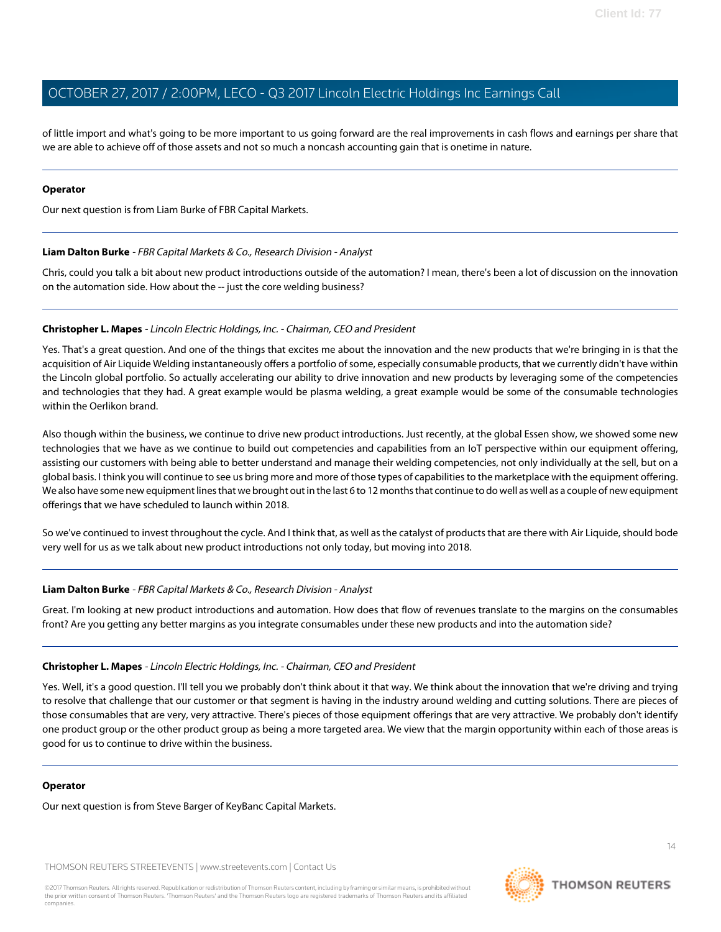of little import and what's going to be more important to us going forward are the real improvements in cash flows and earnings per share that we are able to achieve off of those assets and not so much a noncash accounting gain that is onetime in nature.

#### **Operator**

<span id="page-13-0"></span>Our next question is from Liam Burke of FBR Capital Markets.

#### **Liam Dalton Burke** - FBR Capital Markets & Co., Research Division - Analyst

Chris, could you talk a bit about new product introductions outside of the automation? I mean, there's been a lot of discussion on the innovation on the automation side. How about the -- just the core welding business?

#### **Christopher L. Mapes** - Lincoln Electric Holdings, Inc. - Chairman, CEO and President

Yes. That's a great question. And one of the things that excites me about the innovation and the new products that we're bringing in is that the acquisition of Air Liquide Welding instantaneously offers a portfolio of some, especially consumable products, that we currently didn't have within the Lincoln global portfolio. So actually accelerating our ability to drive innovation and new products by leveraging some of the competencies and technologies that they had. A great example would be plasma welding, a great example would be some of the consumable technologies within the Oerlikon brand.

Also though within the business, we continue to drive new product introductions. Just recently, at the global Essen show, we showed some new technologies that we have as we continue to build out competencies and capabilities from an IoT perspective within our equipment offering, assisting our customers with being able to better understand and manage their welding competencies, not only individually at the sell, but on a global basis. I think you will continue to see us bring more and more of those types of capabilities to the marketplace with the equipment offering. We also have some new equipment lines that we brought out in the last 6 to 12 months that continue to do well as well as a couple of new equipment offerings that we have scheduled to launch within 2018.

So we've continued to invest throughout the cycle. And I think that, as well as the catalyst of products that are there with Air Liquide, should bode very well for us as we talk about new product introductions not only today, but moving into 2018.

#### **Liam Dalton Burke** - FBR Capital Markets & Co., Research Division - Analyst

Great. I'm looking at new product introductions and automation. How does that flow of revenues translate to the margins on the consumables front? Are you getting any better margins as you integrate consumables under these new products and into the automation side?

#### **Christopher L. Mapes** - Lincoln Electric Holdings, Inc. - Chairman, CEO and President

Yes. Well, it's a good question. I'll tell you we probably don't think about it that way. We think about the innovation that we're driving and trying to resolve that challenge that our customer or that segment is having in the industry around welding and cutting solutions. There are pieces of those consumables that are very, very attractive. There's pieces of those equipment offerings that are very attractive. We probably don't identify one product group or the other product group as being a more targeted area. We view that the margin opportunity within each of those areas is good for us to continue to drive within the business.

#### **Operator**

Our next question is from Steve Barger of KeyBanc Capital Markets.

THOMSON REUTERS STREETEVENTS | [www.streetevents.com](http://www.streetevents.com) | [Contact Us](http://www010.streetevents.com/contact.asp)

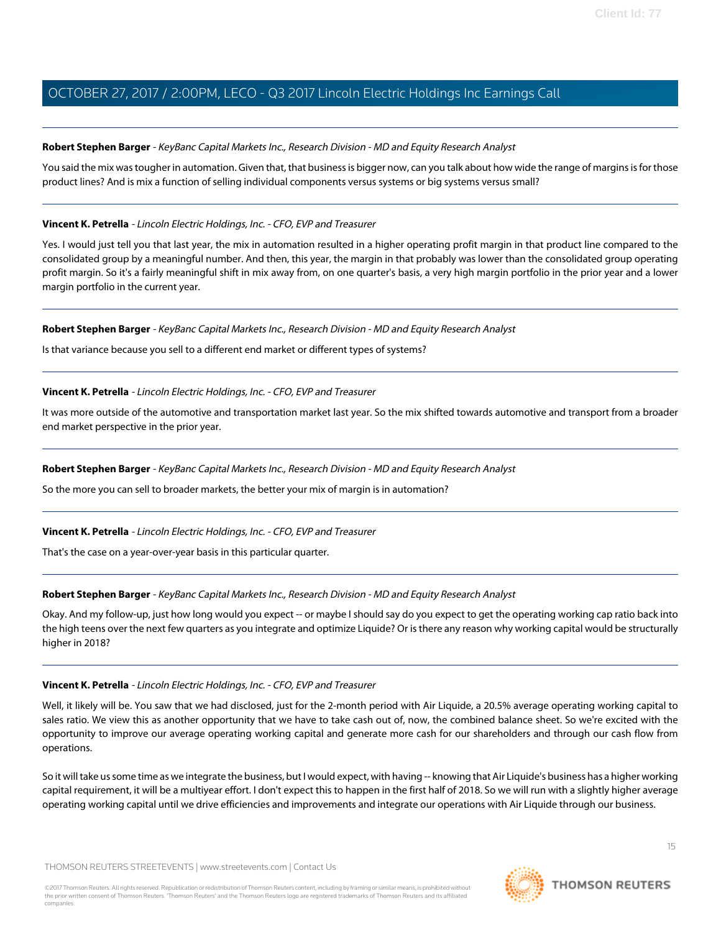#### <span id="page-14-0"></span>**Robert Stephen Barger** - KeyBanc Capital Markets Inc., Research Division - MD and Equity Research Analyst

You said the mix was tougher in automation. Given that, that business is bigger now, can you talk about how wide the range of margins is for those product lines? And is mix a function of selling individual components versus systems or big systems versus small?

#### **Vincent K. Petrella** - Lincoln Electric Holdings, Inc. - CFO, EVP and Treasurer

Yes. I would just tell you that last year, the mix in automation resulted in a higher operating profit margin in that product line compared to the consolidated group by a meaningful number. And then, this year, the margin in that probably was lower than the consolidated group operating profit margin. So it's a fairly meaningful shift in mix away from, on one quarter's basis, a very high margin portfolio in the prior year and a lower margin portfolio in the current year.

#### **Robert Stephen Barger** - KeyBanc Capital Markets Inc., Research Division - MD and Equity Research Analyst

Is that variance because you sell to a different end market or different types of systems?

#### **Vincent K. Petrella** - Lincoln Electric Holdings, Inc. - CFO, EVP and Treasurer

It was more outside of the automotive and transportation market last year. So the mix shifted towards automotive and transport from a broader end market perspective in the prior year.

#### **Robert Stephen Barger** - KeyBanc Capital Markets Inc., Research Division - MD and Equity Research Analyst

So the more you can sell to broader markets, the better your mix of margin is in automation?

#### **Vincent K. Petrella** - Lincoln Electric Holdings, Inc. - CFO, EVP and Treasurer

That's the case on a year-over-year basis in this particular quarter.

#### **Robert Stephen Barger** - KeyBanc Capital Markets Inc., Research Division - MD and Equity Research Analyst

Okay. And my follow-up, just how long would you expect -- or maybe I should say do you expect to get the operating working cap ratio back into the high teens over the next few quarters as you integrate and optimize Liquide? Or is there any reason why working capital would be structurally higher in 2018?

#### **Vincent K. Petrella** - Lincoln Electric Holdings, Inc. - CFO, EVP and Treasurer

Well, it likely will be. You saw that we had disclosed, just for the 2-month period with Air Liquide, a 20.5% average operating working capital to sales ratio. We view this as another opportunity that we have to take cash out of, now, the combined balance sheet. So we're excited with the opportunity to improve our average operating working capital and generate more cash for our shareholders and through our cash flow from operations.

So it will take us some time as we integrate the business, but I would expect, with having -- knowing that Air Liquide's business has a higher working capital requirement, it will be a multiyear effort. I don't expect this to happen in the first half of 2018. So we will run with a slightly higher average operating working capital until we drive efficiencies and improvements and integrate our operations with Air Liquide through our business.

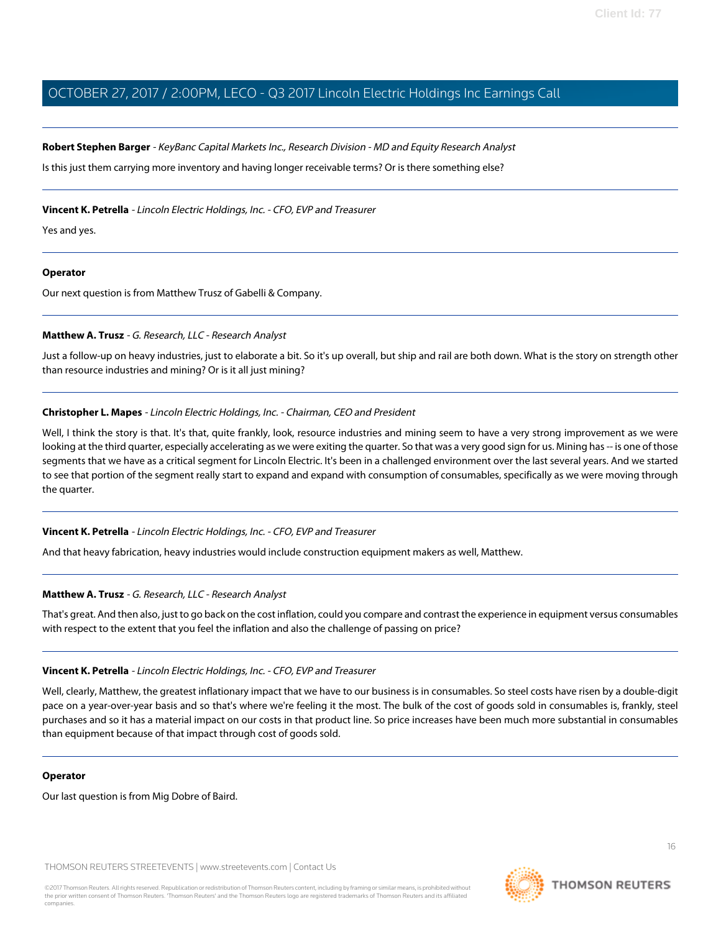#### **Robert Stephen Barger** - KeyBanc Capital Markets Inc., Research Division - MD and Equity Research Analyst

Is this just them carrying more inventory and having longer receivable terms? Or is there something else?

#### **Vincent K. Petrella** - Lincoln Electric Holdings, Inc. - CFO, EVP and Treasurer

Yes and yes.

#### **Operator**

<span id="page-15-0"></span>Our next question is from Matthew Trusz of Gabelli & Company.

#### **Matthew A. Trusz** - G. Research, LLC - Research Analyst

Just a follow-up on heavy industries, just to elaborate a bit. So it's up overall, but ship and rail are both down. What is the story on strength other than resource industries and mining? Or is it all just mining?

#### **Christopher L. Mapes** - Lincoln Electric Holdings, Inc. - Chairman, CEO and President

Well, I think the story is that. It's that, quite frankly, look, resource industries and mining seem to have a very strong improvement as we were looking at the third quarter, especially accelerating as we were exiting the quarter. So that was a very good sign for us. Mining has -- is one of those segments that we have as a critical segment for Lincoln Electric. It's been in a challenged environment over the last several years. And we started to see that portion of the segment really start to expand and expand with consumption of consumables, specifically as we were moving through the quarter.

#### **Vincent K. Petrella** - Lincoln Electric Holdings, Inc. - CFO, EVP and Treasurer

And that heavy fabrication, heavy industries would include construction equipment makers as well, Matthew.

#### **Matthew A. Trusz** - G. Research, LLC - Research Analyst

That's great. And then also, just to go back on the cost inflation, could you compare and contrast the experience in equipment versus consumables with respect to the extent that you feel the inflation and also the challenge of passing on price?

#### **Vincent K. Petrella** - Lincoln Electric Holdings, Inc. - CFO, EVP and Treasurer

Well, clearly, Matthew, the greatest inflationary impact that we have to our business is in consumables. So steel costs have risen by a double-digit pace on a year-over-year basis and so that's where we're feeling it the most. The bulk of the cost of goods sold in consumables is, frankly, steel purchases and so it has a material impact on our costs in that product line. So price increases have been much more substantial in consumables than equipment because of that impact through cost of goods sold.

#### **Operator**

Our last question is from Mig Dobre of Baird.

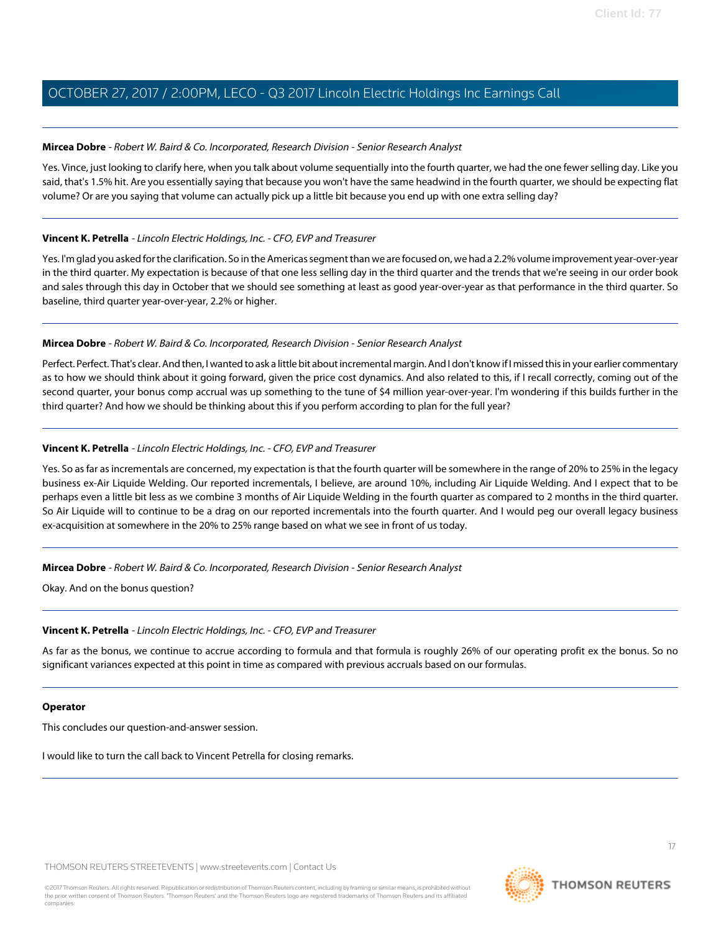#### **Mircea Dobre** - Robert W. Baird & Co. Incorporated, Research Division - Senior Research Analyst

Yes. Vince, just looking to clarify here, when you talk about volume sequentially into the fourth quarter, we had the one fewer selling day. Like you said, that's 1.5% hit. Are you essentially saying that because you won't have the same headwind in the fourth quarter, we should be expecting flat volume? Or are you saying that volume can actually pick up a little bit because you end up with one extra selling day?

#### **Vincent K. Petrella** - Lincoln Electric Holdings, Inc. - CFO, EVP and Treasurer

Yes. I'm glad you asked for the clarification. So in the Americas segment than we are focused on, we had a 2.2% volume improvement year-over-year in the third quarter. My expectation is because of that one less selling day in the third quarter and the trends that we're seeing in our order book and sales through this day in October that we should see something at least as good year-over-year as that performance in the third quarter. So baseline, third quarter year-over-year, 2.2% or higher.

#### **Mircea Dobre** - Robert W. Baird & Co. Incorporated, Research Division - Senior Research Analyst

Perfect. Perfect. That's clear. And then, I wanted to ask a little bit about incremental margin. And I don't know if I missed this in your earlier commentary as to how we should think about it going forward, given the price cost dynamics. And also related to this, if I recall correctly, coming out of the second quarter, your bonus comp accrual was up something to the tune of \$4 million year-over-year. I'm wondering if this builds further in the third quarter? And how we should be thinking about this if you perform according to plan for the full year?

#### **Vincent K. Petrella** - Lincoln Electric Holdings, Inc. - CFO, EVP and Treasurer

Yes. So as far as incrementals are concerned, my expectation is that the fourth quarter will be somewhere in the range of 20% to 25% in the legacy business ex-Air Liquide Welding. Our reported incrementals, I believe, are around 10%, including Air Liquide Welding. And I expect that to be perhaps even a little bit less as we combine 3 months of Air Liquide Welding in the fourth quarter as compared to 2 months in the third quarter. So Air Liquide will to continue to be a drag on our reported incrementals into the fourth quarter. And I would peg our overall legacy business ex-acquisition at somewhere in the 20% to 25% range based on what we see in front of us today.

#### **Mircea Dobre** - Robert W. Baird & Co. Incorporated, Research Division - Senior Research Analyst

Okay. And on the bonus question?

#### **Vincent K. Petrella** - Lincoln Electric Holdings, Inc. - CFO, EVP and Treasurer

As far as the bonus, we continue to accrue according to formula and that formula is roughly 26% of our operating profit ex the bonus. So no significant variances expected at this point in time as compared with previous accruals based on our formulas.

#### **Operator**

This concludes our question-and-answer session.

I would like to turn the call back to Vincent Petrella for closing remarks.